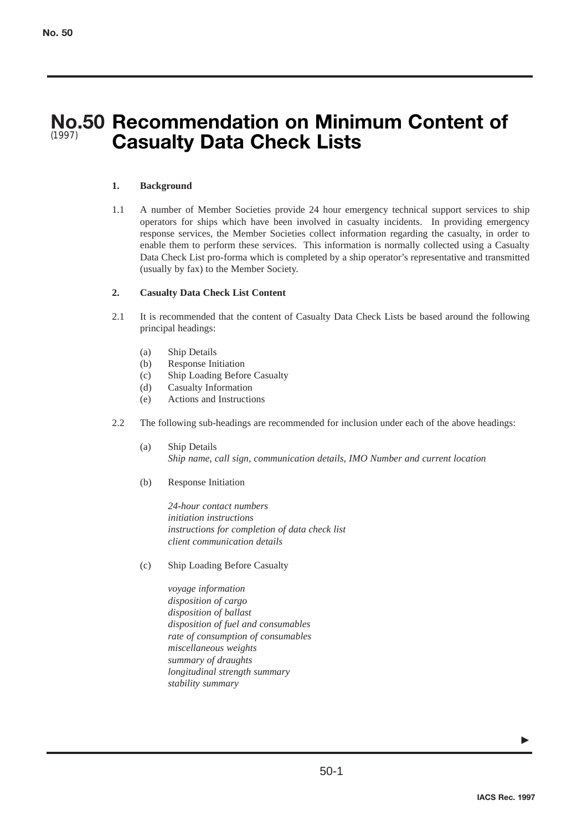## **No.50 Recommendation on Minimum Content of Casualty Data Check Lists** (1997)

## **1. Background**

1.1 A number of Member Societies provide 24 hour emergency technical support services to ship operators for ships which have been involved in casualty incidents. In providing emergency response services, the Member Societies collect information regarding the casualty, in order to enable them to perform these services. This information is normally collected using a Casualty Data Check List pro-forma which is completed by a ship operator's representative and transmitted (usually by fax) to the Member Society.

## **2. Casualty Data Check List Content**

- 2.1 It is recommended that the content of Casualty Data Check Lists be based around the following principal headings:
	- (a) Ship Details
	- (b) Response Initiation
	- (c) Ship Loading Before Casualty
	- (d) Casualty Information
	- (e) Actions and Instructions
- 2.2 The following sub-headings are recommended for inclusion under each of the above headings:
	- (a) Ship Details *Ship name, call sign, communication details, IMO Number and current location*
	- (b) Response Initiation

*24-hour contact numbers initiation instructions instructions for completion of data check list client communication details*

- (c) Ship Loading Before Casualty
	- *voyage information disposition of cargo disposition of ballast disposition of fuel and consumables rate of consumption of consumables miscellaneous weights summary of draughts longitudinal strength summary stability summary*